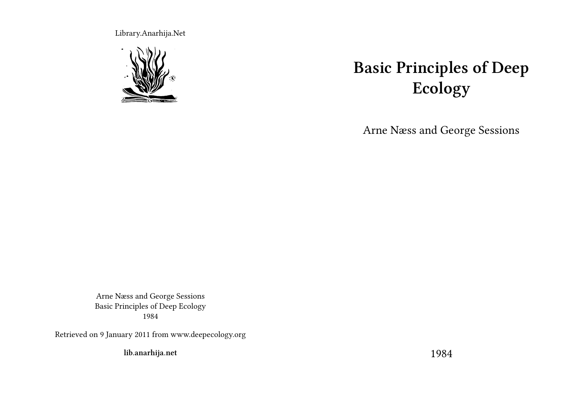Library.Anarhija.Net



# **Basic Principles of Deep Ecology**

Arne Næss and George Sessions

Arne Næss and George Sessions Basic Principles of Deep Ecology 1984

Retrieved on 9 January 2011 from www.deepecology.org

**lib.anarhija.net**

1984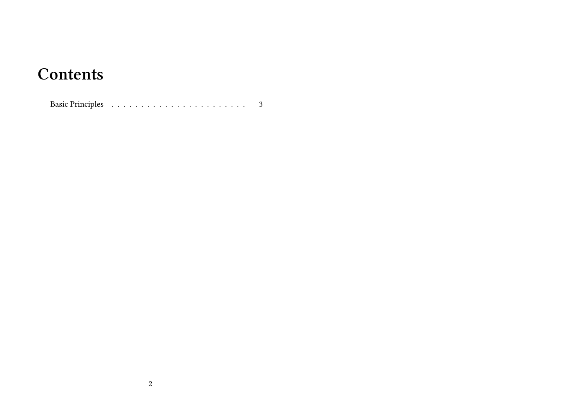## **Contents**

Basic Principles . . . . . . . . . . . . . . . . . . . . . . . 3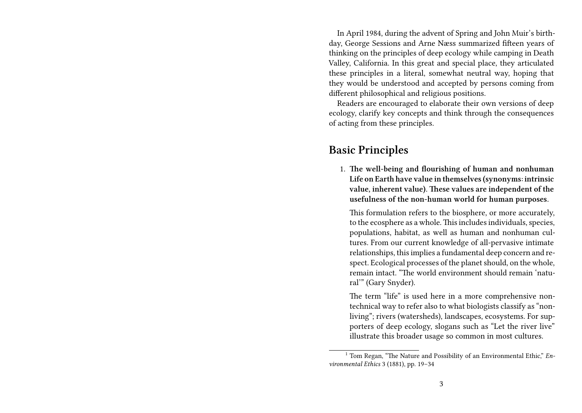In April 1984, during the advent of Spring and John Muir's birthday, George Sessions and Arne Næss summarized fifteen years of thinking on the principles of deep ecology while camping in Death Valley, California. In this great and special place, they articulated these principles in a literal, somewhat neutral way, hoping that they would be understood and accepted by persons coming from different philosophical and religious positions.

Readers are encouraged to elaborate their own versions of deep ecology, clarify key concepts and think through the consequences of acting from these principles.

## **Basic Principles**

1. **The well-being and flourishing of human and nonhuman Life on Earth have value in themselves (synonyms: intrinsic value, inherent value). These values are independent of the usefulness of the non-human world for human purposes.**

This formulation refers to the biosphere, or more accurately, to the ecosphere as a whole.This includes individuals, species, populations, habitat, as well as human and nonhuman cultures. From our current knowledge of all-pervasive intimate relationships, this implies a fundamental deep concern and respect. Ecological processes of the planet should, on the whole, remain intact. "The world environment should remain 'natural'" (Gary Snyder).

The term "life" is used here in a more comprehensive nontechnical way to refer also to what biologists classify as "nonliving"; rivers (watersheds), landscapes, ecosystems. For supporters of deep ecology, slogans such as "Let the river live" illustrate this broader usage so common in most cultures.

<sup>&</sup>lt;sup>1</sup> Tom Regan, "The Nature and Possibility of an Environmental Ethic," *Environmental Ethics* 3 (1881), pp. 19–34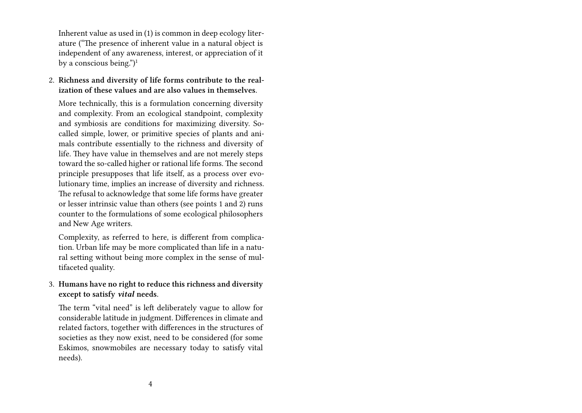Inherent value as used in (1) is common in deep ecology literature ("The presence of inherent value in a natural object is independent of any awareness, interest, or appreciation of it by a conscious being.")<sup>1</sup>

2. **Richness and diversity of life forms contribute to the realization of these values and are also values in themselves.**

More technically, this is a formulation concerning diversity and complexity. From an ecological standpoint, complexity and symbiosis are conditions for maximizing diversity. Socalled simple, lower, or primitive species of plants and animals contribute essentially to the richness and diversity of life. They have value in themselves and are not merely steps toward the so-called higher or rational life forms. The second principle presupposes that life itself, as a process over evolutionary time, implies an increase of diversity and richness. The refusal to acknowledge that some life forms have greater or lesser intrinsic value than others (see points 1 and 2) runs counter to the formulations of some ecological philosophers and New Age writers.

Complexity, as referred to here, is different from complication. Urban life may be more complicated than life in a natural setting without being more complex in the sense of multifaceted quality.

#### 3. **Humans have no right to reduce this richness and diversity except to satisfy** *vital* **needs.**

The term "vital need" is left deliberately vague to allow for considerable latitude in judgment. Differences in climate and related factors, together with differences in the structures of societies as they now exist, need to be considered (for some Eskimos, snowmobiles are necessary today to satisfy vital needs).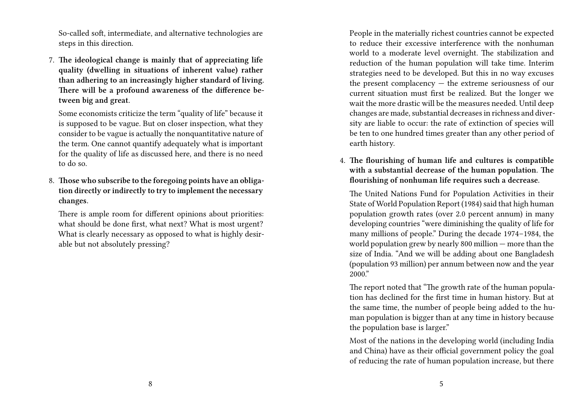So-called soft, intermediate, and alternative technologies are steps in this direction.

7. **The ideological change is mainly that of appreciating life quality (dwelling in situations of inherent value) rather than adhering to an increasingly higher standard of living. There will be a profound awareness of the difference between big and great.**

Some economists criticize the term "quality of life" because it is supposed to be vague. But on closer inspection, what they consider to be vague is actually the nonquantitative nature of the term. One cannot quantify adequately what is important for the quality of life as discussed here, and there is no need to do so.

8. **Those who subscribe to the foregoing points have an obligation directly or indirectly to try to implement the necessary changes.**

There is ample room for different opinions about priorities: what should be done first, what next? What is most urgent? What is clearly necessary as opposed to what is highly desirable but not absolutely pressing?

People in the materially richest countries cannot be expected to reduce their excessive interference with the nonhuman world to a moderate level overnight. The stabilization and reduction of the human population will take time. Interim strategies need to be developed. But this in no way excuses the present complacency — the extreme seriousness of our current situation must first be realized. But the longer we wait the more drastic will be the measures needed. Until deep changes are made, substantial decreases in richness and diversity are liable to occur: the rate of extinction of species will be ten to one hundred times greater than any other period of earth history.

4. **The flourishing of human life and cultures is compatible with a substantial decrease of the human population. The flourishing of nonhuman life requires such a decrease.**

The United Nations Fund for Population Activities in their State of World Population Report (1984) said that high human population growth rates (over 2.0 percent annum) in many developing countries "were diminishing the quality of life for many millions of people." During the decade 1974–1984, the world population grew by nearly 800 million — more than the size of India. "And we will be adding about one Bangladesh (population 93 million) per annum between now and the year 2000."

The report noted that "The growth rate of the human population has declined for the first time in human history. But at the same time, the number of people being added to the human population is bigger than at any time in history because the population base is larger."

Most of the nations in the developing world (including India and China) have as their official government policy the goal of reducing the rate of human population increase, but there